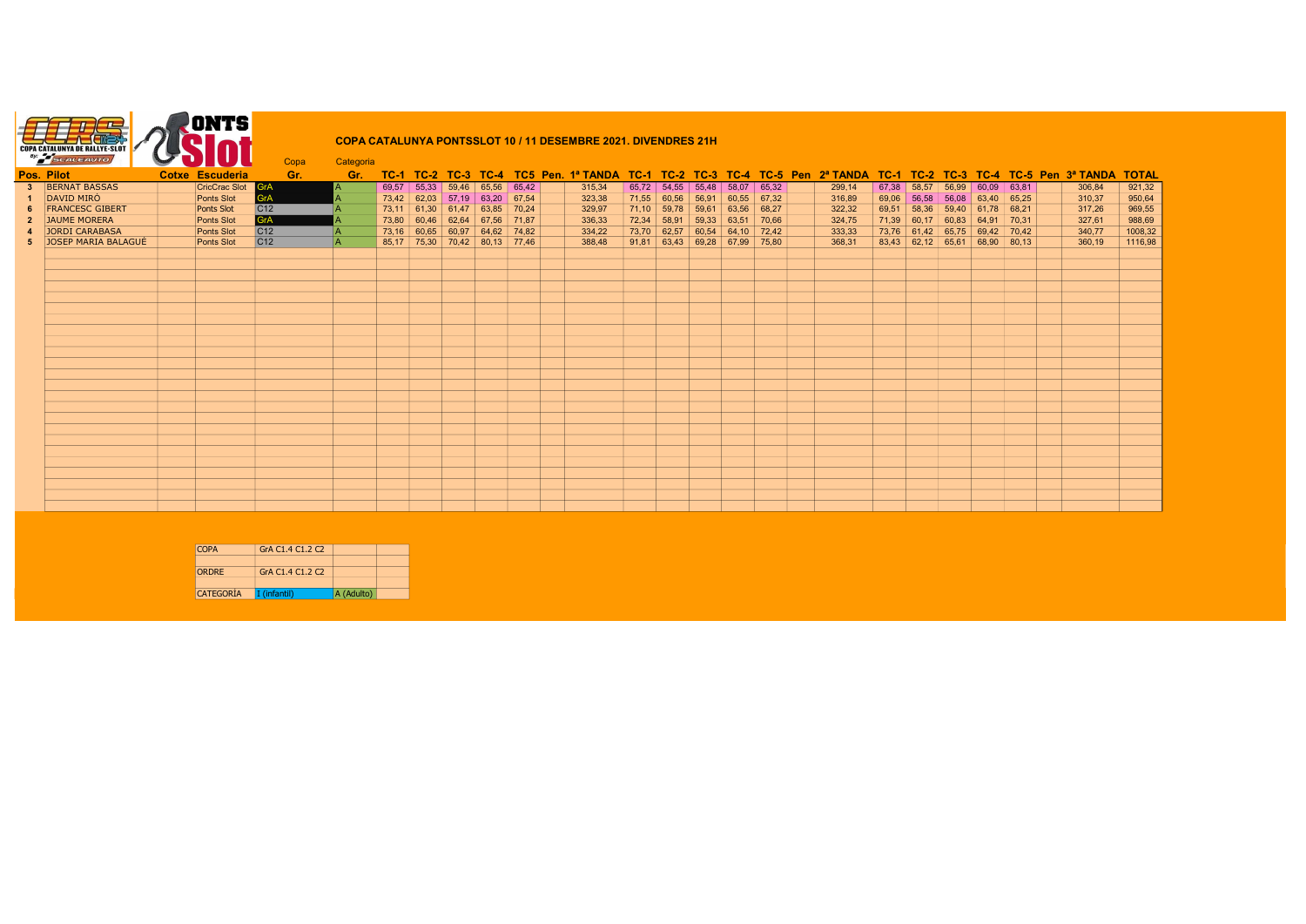|             | <b>COPA CATALUNYA DE RALLYE-SLOT</b><br>By: SCALEAUTO |                      | Copa            | Categoria |       |             |                           |               |       | <b>COPA CATALUNYA PONTSSLOT 10 / 11 DESEMBRE 2021. DIVENDRES 21H</b> |       |               |                           |               |        |        |       |                                 |       |                     |       |                                                                                                                   |              |  |
|-------------|-------------------------------------------------------|----------------------|-----------------|-----------|-------|-------------|---------------------------|---------------|-------|----------------------------------------------------------------------|-------|---------------|---------------------------|---------------|--------|--------|-------|---------------------------------|-------|---------------------|-------|-------------------------------------------------------------------------------------------------------------------|--------------|--|
|             | Pos. Pilot                                            | Cotxe Escuderia      | Gr.             | Gr.       |       |             |                           |               |       |                                                                      |       |               |                           |               |        |        |       |                                 |       |                     |       | TC-1 TC-2 TC-3 TC-4 TC5 Pen. 1ª TANDA TC-1 TC-2 TC-3 TC-4 TC-5 Pen 2ª TANDA TC-1 TC-2 TC-3 TC-4 TC-5 Pen 3ª TANDA | <b>TOTAL</b> |  |
|             | <b>BERNAT BASSAS</b>                                  | <b>CricCrac Slot</b> | GrA             |           | 69,57 | 55,33       | 59,46                     | 65,56         | 65,42 | 315,34                                                               |       | $65,72$ 54,55 | 55,48                     | 58,07         | 65,32  | 299,14 | 67,38 | 58,57                           | 56,99 | 60,09               | 63,81 | 306,84                                                                                                            | 921,32       |  |
|             | <b>DAVID MIRÓ</b>                                     | Ponts Slot           | GrA             |           |       |             | $73,42$ 62,03 57,19 63,20 |               | 67,54 | 323,38                                                               |       | 71,55 60,56   | 56,91                     | 60,55         | 67, 32 | 316,89 | 69,06 | 56,58                           |       | $56,08$ 63,40 65,25 |       | 310,37                                                                                                            | 950,64       |  |
|             | <b>FRANCESC GIBERT</b>                                | <b>Ponts Slot</b>    | C <sub>12</sub> |           |       |             | 73,11 61,30 61,47 63,85   |               | 70,24 | 329,97                                                               |       | $71,10$ 59,78 | 59,61                     | 63,56         | 68,27  | 322,32 | 69,51 | 58,36                           |       | $59,40$ 61,78 68,21 |       | 317,26                                                                                                            | 969,55       |  |
| $2^{\circ}$ | JAUME MORERA                                          | Ponts Slot           | GrA             |           | 73,80 | 60,46       | 62,64                     | 67,56         | 71,87 | 336,33                                                               | 72,34 | 58,91         | 59,33                     | 63,51         | 70,66  | 324,75 | 71,39 | 60,17                           | 60,83 | 64.91               | 70.31 | 327,61                                                                                                            | 988,69       |  |
|             | JORDI CARABASA                                        | Ponts Slot           | C <sub>12</sub> | IA.       |       | 73,16 60,65 |                           | $60,97$ 64,62 | 74,82 | 334,22                                                               |       | 73,70 62,57   |                           | $60,54$ 64,10 | 72.42  | 333,33 |       | 73,76 61,42                     | 65,75 | 69.42 70.42         |       | 340,77                                                                                                            | 1008,32      |  |
|             | JOSEP MARIA BALAGUÉ                                   | Ponts Slot           | C12             | l A       |       |             | $85,17$ 75,30 70,42 80,13 |               | 77.46 | 388.48                                                               |       |               | $91,81$ 63,43 69,28 67,99 |               | 75.80  | 368.31 |       | $83,43$ 62,12 65,61 68,90 80,13 |       |                     |       | 360.19                                                                                                            | 1116,98      |  |
|             |                                                       |                      |                 |           |       |             |                           |               |       |                                                                      |       |               |                           |               |        |        |       |                                 |       |                     |       |                                                                                                                   |              |  |
|             |                                                       |                      |                 |           |       |             |                           |               |       |                                                                      |       |               |                           |               |        |        |       |                                 |       |                     |       |                                                                                                                   |              |  |
|             |                                                       |                      |                 |           |       |             |                           |               |       |                                                                      |       |               |                           |               |        |        |       |                                 |       |                     |       |                                                                                                                   |              |  |
|             |                                                       |                      |                 |           |       |             |                           |               |       |                                                                      |       |               |                           |               |        |        |       |                                 |       |                     |       |                                                                                                                   |              |  |
|             |                                                       |                      |                 |           |       |             |                           |               |       |                                                                      |       |               |                           |               |        |        |       |                                 |       |                     |       |                                                                                                                   |              |  |
|             |                                                       |                      |                 |           |       |             |                           |               |       |                                                                      |       |               |                           |               |        |        |       |                                 |       |                     |       |                                                                                                                   |              |  |
|             |                                                       |                      |                 |           |       |             |                           |               |       |                                                                      |       |               |                           |               |        |        |       |                                 |       |                     |       |                                                                                                                   |              |  |
|             |                                                       |                      |                 |           |       |             |                           |               |       |                                                                      |       |               |                           |               |        |        |       |                                 |       |                     |       |                                                                                                                   |              |  |
|             |                                                       |                      |                 |           |       |             |                           |               |       |                                                                      |       |               |                           |               |        |        |       |                                 |       |                     |       |                                                                                                                   |              |  |
|             |                                                       |                      |                 |           |       |             |                           |               |       |                                                                      |       |               |                           |               |        |        |       |                                 |       |                     |       |                                                                                                                   |              |  |
|             |                                                       |                      |                 |           |       |             |                           |               |       |                                                                      |       |               |                           |               |        |        |       |                                 |       |                     |       |                                                                                                                   |              |  |
|             |                                                       |                      |                 |           |       |             |                           |               |       |                                                                      |       |               |                           |               |        |        |       |                                 |       |                     |       |                                                                                                                   |              |  |
|             |                                                       |                      |                 |           |       |             |                           |               |       |                                                                      |       |               |                           |               |        |        |       |                                 |       |                     |       |                                                                                                                   |              |  |
|             |                                                       |                      |                 |           |       |             |                           |               |       |                                                                      |       |               |                           |               |        |        |       |                                 |       |                     |       |                                                                                                                   |              |  |
|             |                                                       |                      |                 |           |       |             |                           |               |       |                                                                      |       |               |                           |               |        |        |       |                                 |       |                     |       |                                                                                                                   |              |  |
|             |                                                       |                      |                 |           |       |             |                           |               |       |                                                                      |       |               |                           |               |        |        |       |                                 |       |                     |       |                                                                                                                   |              |  |
|             |                                                       |                      |                 |           |       |             |                           |               |       |                                                                      |       |               |                           |               |        |        |       |                                 |       |                     |       |                                                                                                                   |              |  |
|             |                                                       |                      |                 |           |       |             |                           |               |       |                                                                      |       |               |                           |               |        |        |       |                                 |       |                     |       |                                                                                                                   |              |  |
|             |                                                       |                      |                 |           |       |             |                           |               |       |                                                                      |       |               |                           |               |        |        |       |                                 |       |                     |       |                                                                                                                   |              |  |
|             |                                                       |                      |                 |           |       |             |                           |               |       |                                                                      |       |               |                           |               |        |        |       |                                 |       |                     |       |                                                                                                                   |              |  |
|             |                                                       |                      |                 |           |       |             |                           |               |       |                                                                      |       |               |                           |               |        |        |       |                                 |       |                     |       |                                                                                                                   |              |  |

| COPA             | GrA C1.4 C1.2 C2 |            |  |
|------------------|------------------|------------|--|
| <b>ORDRE</b>     | GrA C1.4 C1.2 C2 |            |  |
|                  |                  |            |  |
| <b>CATEGORÍA</b> | I (infantil)     | A (Adulto) |  |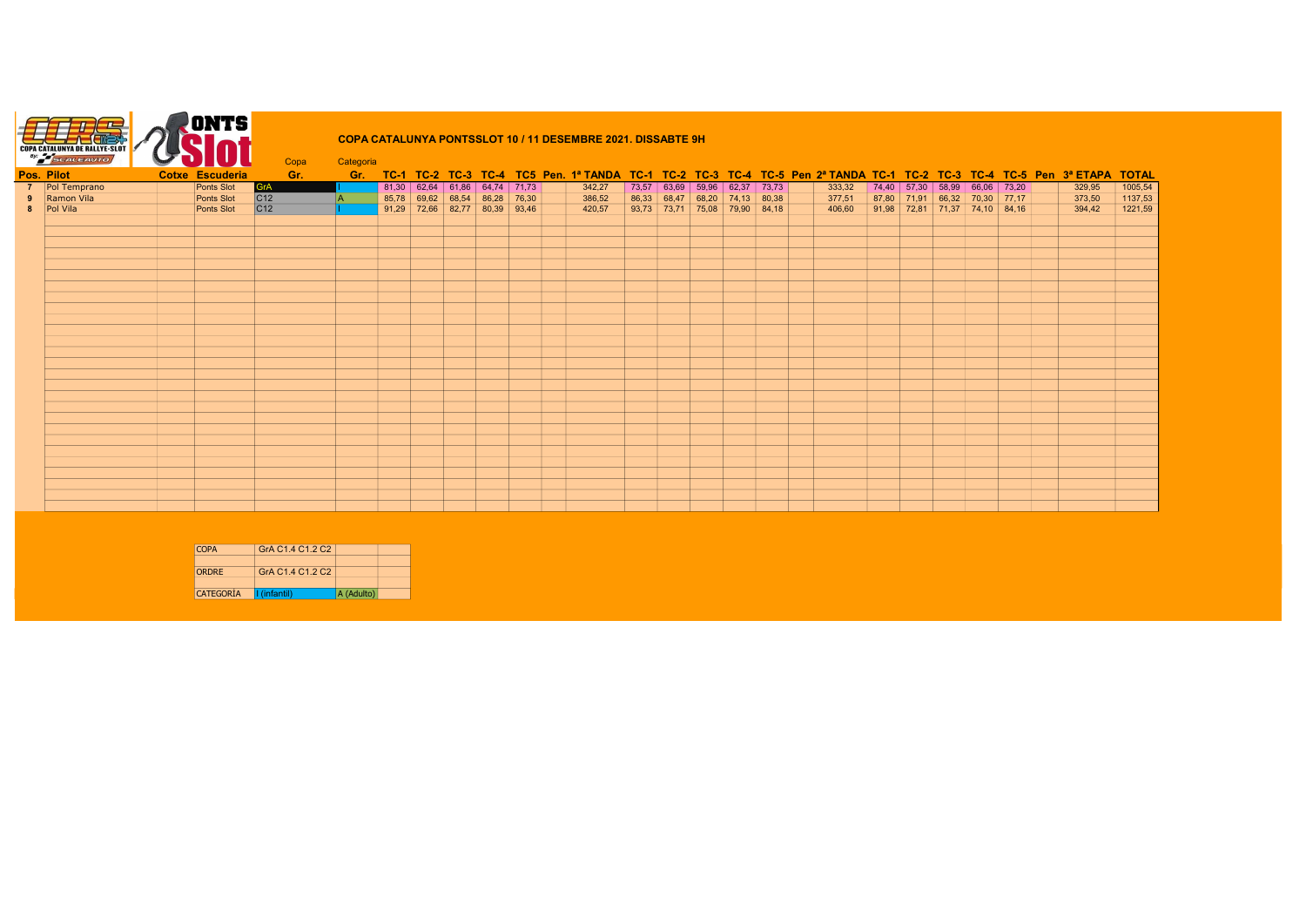

## COPA CATALUNYA PONTSSLOT 10 / 11 DESEMBRE 2021. DISSABTE 9H

|            | <b>SCALEAUTO</b> | $\sim$ or $\sim$       | Copa       | Categoria |  |                                 |       |        |  |  |                                                                                                                             |        |                                       |                               |  |        |         |
|------------|------------------|------------------------|------------|-----------|--|---------------------------------|-------|--------|--|--|-----------------------------------------------------------------------------------------------------------------------------|--------|---------------------------------------|-------------------------------|--|--------|---------|
| Pos. Pilot |                  | <b>Cotxe Escuderia</b> | Gr.        |           |  |                                 |       |        |  |  | Gr. TC-1 TC-2 TC-3 TC-4 TC5 Pen. 1ª TANDA TC-1 TC-2 TC-3 TC-4 TC-5 Pen 2ª TANDA TC-1 TC-2 TC-3 TC-4 TC-5 Pen 3ª ETAPA TOTAL |        |                                       |                               |  |        |         |
|            | 7 Pol Temprano   | Ponts Slot             | <b>GrA</b> |           |  | $81,30$ 62,64 61,86 64,74 71,73 |       | 342,27 |  |  | 73,57 63,69 59,96 62,37 73,73                                                                                               | 333,32 |                                       | 74,40 57,30 58,99 66,06 73,20 |  | 329,95 | 1005,54 |
| 9          | Ramon Vila       | Ponts Slot             | C12        |           |  | 85,78 69,62 68,54 86,28         | 76,30 | 386,52 |  |  | 86,33 68,47 68,20 74,13 80,38                                                                                               | 377,51 | $\vert$ 87,80 71,91 66,32 70,30 77,17 |                               |  | 373,50 | 1137,53 |
|            | 8   Pol Vila     | Ponts Slot             | C12        |           |  | $91,29$ 72,66 82,77 80,39 93,46 |       | 420,57 |  |  | $\vert$ 93,73 73,71 75,08 79,90 84,18                                                                                       | 406,60 | $\vert$ 91,98 72,81 71,37 74,10 84,16 |                               |  | 394,42 | 1221,59 |
|            |                  |                        |            |           |  |                                 |       |        |  |  |                                                                                                                             |        |                                       |                               |  |        |         |
|            |                  |                        |            |           |  |                                 |       |        |  |  |                                                                                                                             |        |                                       |                               |  |        |         |
|            |                  |                        |            |           |  |                                 |       |        |  |  |                                                                                                                             |        |                                       |                               |  |        |         |
|            |                  |                        |            |           |  |                                 |       |        |  |  |                                                                                                                             |        |                                       |                               |  |        |         |
|            |                  |                        |            |           |  |                                 |       |        |  |  |                                                                                                                             |        |                                       |                               |  |        |         |
|            |                  |                        |            |           |  |                                 |       |        |  |  |                                                                                                                             |        |                                       |                               |  |        |         |
|            |                  |                        |            |           |  |                                 |       |        |  |  |                                                                                                                             |        |                                       |                               |  |        |         |
|            |                  |                        |            |           |  |                                 |       |        |  |  |                                                                                                                             |        |                                       |                               |  |        |         |
|            |                  |                        |            |           |  |                                 |       |        |  |  |                                                                                                                             |        |                                       |                               |  |        |         |
|            |                  |                        |            |           |  |                                 |       |        |  |  |                                                                                                                             |        |                                       |                               |  |        |         |
|            |                  |                        |            |           |  |                                 |       |        |  |  |                                                                                                                             |        |                                       |                               |  |        |         |
|            |                  |                        |            |           |  |                                 |       |        |  |  |                                                                                                                             |        |                                       |                               |  |        |         |
|            |                  |                        |            |           |  |                                 |       |        |  |  |                                                                                                                             |        |                                       |                               |  |        |         |
|            |                  |                        |            |           |  |                                 |       |        |  |  |                                                                                                                             |        |                                       |                               |  |        |         |
|            |                  |                        |            |           |  |                                 |       |        |  |  |                                                                                                                             |        |                                       |                               |  |        |         |
|            |                  |                        |            |           |  |                                 |       |        |  |  |                                                                                                                             |        |                                       |                               |  |        |         |
|            |                  |                        |            |           |  |                                 |       |        |  |  |                                                                                                                             |        |                                       |                               |  |        |         |
|            |                  |                        |            |           |  |                                 |       |        |  |  |                                                                                                                             |        |                                       |                               |  |        |         |
|            |                  |                        |            |           |  |                                 |       |        |  |  |                                                                                                                             |        |                                       |                               |  |        |         |
|            |                  |                        |            |           |  |                                 |       |        |  |  |                                                                                                                             |        |                                       |                               |  |        |         |
|            |                  |                        |            |           |  |                                 |       |        |  |  |                                                                                                                             |        |                                       |                               |  |        |         |
|            |                  |                        |            |           |  |                                 |       |        |  |  |                                                                                                                             |        |                                       |                               |  |        |         |
|            |                  |                        |            |           |  |                                 |       |        |  |  |                                                                                                                             |        |                                       |                               |  |        |         |
|            |                  |                        |            |           |  |                                 |       |        |  |  |                                                                                                                             |        |                                       |                               |  |        |         |
|            |                  |                        |            |           |  |                                 |       |        |  |  |                                                                                                                             |        |                                       |                               |  |        |         |
|            |                  |                        |            |           |  |                                 |       |        |  |  |                                                                                                                             |        |                                       |                               |  |        |         |
|            |                  |                        |            |           |  |                                 |       |        |  |  |                                                                                                                             |        |                                       |                               |  |        |         |

| <b>COPA</b>      | GrA C <sub>1.4</sub> C <sub>1.2</sub> C <sub>2</sub> |            |  |
|------------------|------------------------------------------------------|------------|--|
|                  |                                                      |            |  |
| <b>ORDRE</b>     | GrA C <sub>1.4</sub> C <sub>1.2</sub> C <sub>2</sub> |            |  |
|                  |                                                      |            |  |
| <b>CATEGORÍA</b> | I (infantil)                                         | A (Adulto) |  |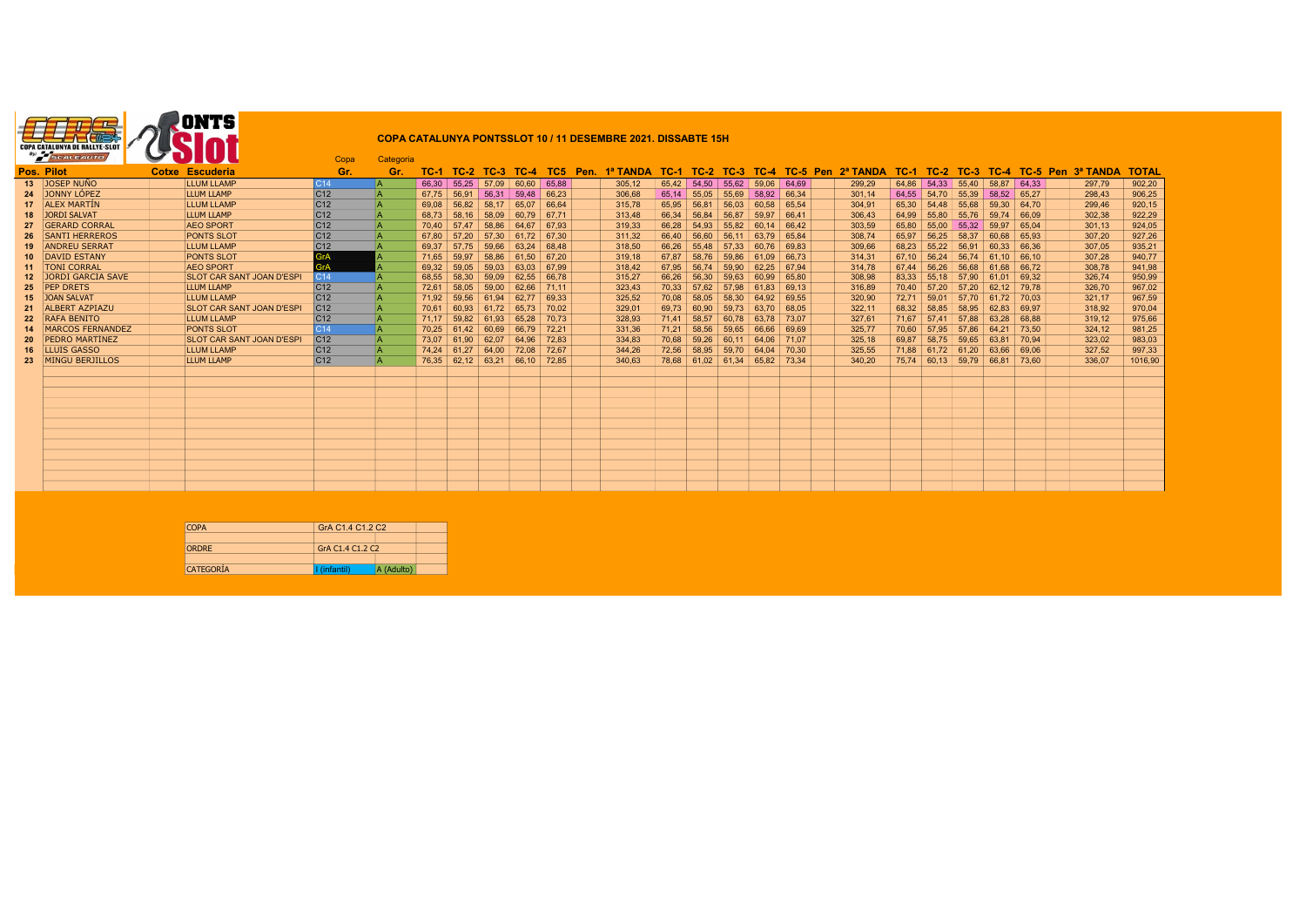| <b>COPA CATALUNYA DE RALLYE-SLOT</b><br>By.<br>CALEAUTO |  |  |  |  |  |
|---------------------------------------------------------|--|--|--|--|--|
|---------------------------------------------------------|--|--|--|--|--|

## COPA CATALUNYA PONTSSLOT 10 / 11 DESEMBRE 2021. DISSABTE 15H

|    | SCALEAUTO            |                       | $\sim$ UIUL                      | Copa            | Categoria |       |                     |               |       |       |      |          |       |               |                               |             |       |                                  |        |        |                   |               |       |                        |              |
|----|----------------------|-----------------------|----------------------------------|-----------------|-----------|-------|---------------------|---------------|-------|-------|------|----------|-------|---------------|-------------------------------|-------------|-------|----------------------------------|--------|--------|-------------------|---------------|-------|------------------------|--------------|
|    | Pos. Pilot           |                       | Cotxe Escuderia                  | Gr.             | Gr.       | TC-1  | $TC-2$              | TC-3          | TC-4  | TC5.  | Pen. | 1ª TANDA | TC-1  |               |                               |             |       | TC-2 TC-3 TC-4 TC-5 Pen 2ª TANDA | $TC-1$ | $TC-2$ | $TC-3$            |               |       | TC-4 TC-5 Pen 3ª TANDA | <b>TOTAL</b> |
|    | 13 JOSEP NUÑO        |                       | LLUM LLAMP                       | C14             |           | 66.30 |                     | $55.25$ 57.09 | 60.60 | 65.88 |      | 305.12   |       |               | 65.42 54.50 55.62 59.06 64.69 |             |       | 299.29                           |        |        | 64.86 54.33 55.40 | $58.87$ 64.33 |       | 297,79                 | 902,20       |
|    | 24 JONNY LÓPEZ       |                       | LLUM LLAMP                       | C <sub>12</sub> |           | 67.75 | 56.91               | 56.31         | 59.48 | 66.23 |      | 306.68   |       | $65,14$ 55,05 | 55,69                         | 58,92 66,34 |       | 301.14                           | 64,55  | 54.70  | 55.39             | 58.52 65.27   |       | 298.43                 | 906,25       |
|    | <b>ALEX MARTIN</b>   |                       | <b>LLUM LLAMP</b>                | C <sub>12</sub> |           | 69.08 | 56.82               | 58.17         | 65.07 | 66.64 |      | 315.78   | 65.95 | 56.81         | 56.03                         | 60.58       | 65.54 | 304.91                           | 65.30  | 54.48  | 55.68             | 59.30         | 64.70 | 299.46                 | 920,15       |
|    | 18 JORDI SALVAT      |                       | LLUM LLAMP                       | C <sub>12</sub> |           | 68.73 | 58.16               | 58.09         | 60.79 | 67.71 |      | 313.48   | 66.34 | 56.84         | 56.87                         | 59.97       | 66.41 | 306.43                           | 64.99  | 55.80  | 55.76             | 59.74         | 66.09 | 302,38                 | 922,29       |
| 27 | <b>GERARD CORRAL</b> |                       | <b>AEO SPORT</b>                 | C <sub>12</sub> |           | 70.40 | 57.47               | 58.86         | 64.67 | 67.93 |      | 319.33   | 66.28 | 54.93         | 55.82                         | 60.14       | 66.42 | 303.59                           | 65.80  | 55.00  | 55.32             | 59.97         | 65.04 | 301,13                 | 924,05       |
| 26 |                      | <b>SANTI HERREROS</b> | <b>PONTS SLOT</b>                | C <sub>12</sub> |           | 67.80 | 57.20               | 57.30         | 61.72 | 67.30 |      | 311.32   | 66.40 | 56.60         | 56.11                         | 63.79       | 65.84 | 308,74                           | 65.97  | 56.25  | 58.37             | 60.68         | 65.93 | 307,20                 | 927,26       |
|    | <b>ANDREU SERRAT</b> |                       | LLUM LLAMP                       | C <sub>12</sub> |           | 69,37 | 57.75               | 59,66         | 63.24 | 68.48 |      | 318,50   | 66,26 | 55,48         | 57,33                         | 60,76       | 69,83 | 309,66                           | 68,23  | 55,22  | 56.91             | 60,33         | 66.36 | 307,05                 | 935,21       |
| 10 | <b>DAVID ESTANY</b>  |                       | <b>PONTS SLOT</b>                | GrA             |           | 71.65 | 59.97               | 58.86         | 61.50 | 67.20 |      | 319,18   | 67.87 | 58.76         | 59.86                         | 61.09       | 66.73 | 314,31                           | 67.10  | 56.24  | 56.74             | 61.10         | 66.10 | 307,28                 | 940,77       |
| 11 | <b>TONI CORRAL</b>   |                       | <b>AEO SPORT</b>                 | GrA             |           | 69.32 | 59.05               | 59.03         | 63.03 | 67.99 |      | 318.42   | 67.95 | 56.74         | 59.90                         | 62.25       | 67.94 | 314.78                           | 67.44  | 56.26  | 56.68             | 61.68         | 66.72 | 308.78                 | 941,98       |
|    |                      | 12 JORDI GARCIA SAVE  | <b>SLOT CAR SANT JOAN D'ESPI</b> | C <sub>14</sub> |           | 68.55 | 58.30               | 59.09         | 62.55 | 66.78 |      | 315.27   | 66.26 | 56.30         | 59.63                         | 60.99       | 65.80 | 308.98                           | 83.33  | 55.18  | 57.90             | 61.01         | 69.32 | 326.74                 | 950,99       |
| 25 | <b>PEP DRETS</b>     |                       | <b>LLUM LLAMP</b>                | C <sub>12</sub> |           | 72.61 | 58.05               | 59.00         | 62.66 | 71.11 |      | 323.43   | 70.33 | 57.62         | 57.98                         | 61.83       | 69.13 | 316.89                           | 70.40  | 57.20  | 57.20             | 62.12 79.78   |       | 326.70                 | 967,02       |
|    | JOAN SALVAT          |                       | <b>LLUM LLAMP</b>                | C <sub>12</sub> |           | 71.92 | 59.56               | 61.94         | 62.77 | 69.33 |      | 325.52   | 70.08 | 58.05         | 58.30                         | 64.92       | 69.55 | 320.90                           | 72.71  | 59.01  | 57.70             | 61.72         | 70.03 | 321.17                 | 967,59       |
|    |                      | <b>ALBERT AZPIAZU</b> | <b>SLOT CAR SANT JOAN D'ESPI</b> | C <sub>12</sub> |           | 70.61 | 60.93               | 61.72         | 65.73 | 70.02 |      | 329.01   | 69.73 | 60.90         |                               | 59.73 63.70 | 68.05 | 322,11                           | 68.32  | 58.85  | 58.95             | 62.83         | 69.97 | 318,92                 | 970,04       |
| 22 | <b>RAFA BENITO</b>   |                       | <b>LLUM LLAMP</b>                | C <sub>12</sub> |           | 71.17 | 59,82               | 61.93         | 65.28 | 70.73 |      | 328,93   | 71.41 | 58,57         |                               | 60,78 63,78 | 73.07 | 327.61                           | 71.67  | 57.41  | 57.88             | 63.28         | 68.88 | 319,12                 | 975,66       |
|    |                      | MARCOS FERNÁNDEZ      | PONTS SLOT                       | C <sub>14</sub> |           | 70.25 | 61.42               | 60.69         | 66.79 | 72.21 |      | 331.36   | 71.21 | 58.56         | 59.65                         | 66.66       | 69.69 | 325.77                           | 70.60  | 57.95  | 57.86             | 64.21         | 73.50 | 324.12                 | 981,25       |
|    |                      | <b>PEDRO MARTÍNEZ</b> | <b>SLOT CAR SANT JOAN D'ESPI</b> | C <sub>12</sub> |           | 73.07 | 61.90               | 62.07         | 64.96 | 72.83 |      | 334.83   | 70.68 | 59.26         | 60.11                         | 64.06       | 71.07 | 325.18                           | 69.87  | 58.75  | 59.65             | 63.81         | 70.94 | 323,02                 | 983,03       |
| 16 | LLUIS GASSO          |                       | <b>LLUM LLAMP</b>                | C <sub>12</sub> |           | 74.24 | 61.27               | 64.00         | 72.08 | 72.67 |      | 344.26   | 72.56 | 58.95         | 59.70                         | 64.04       | 70.30 | 325.55                           | 71.88  | 61.72  | 61.20             | 63.66         | 69.06 | 327,52                 | 997,33       |
|    | 23 MINGU BERJILLOS   |                       | <b>LLUM LLAMP</b>                | C <sub>12</sub> |           |       | $76,35$ 62,12 63,21 |               | 66,10 | 72.85 |      | 340,63   |       |               | 78,68 61,02 61,34 65,82       |             | 73.34 | 340,20                           |        |        | 75,74 60,13 59,79 | 66,81         | 73.60 | 336,07                 | 1016,90      |
|    |                      |                       |                                  |                 |           |       |                     |               |       |       |      |          |       |               |                               |             |       |                                  |        |        |                   |               |       |                        |              |
|    |                      |                       |                                  |                 |           |       |                     |               |       |       |      |          |       |               |                               |             |       |                                  |        |        |                   |               |       |                        |              |
|    |                      |                       |                                  |                 |           |       |                     |               |       |       |      |          |       |               |                               |             |       |                                  |        |        |                   |               |       |                        |              |
|    |                      |                       |                                  |                 |           |       |                     |               |       |       |      |          |       |               |                               |             |       |                                  |        |        |                   |               |       |                        |              |
|    |                      |                       |                                  |                 |           |       |                     |               |       |       |      |          |       |               |                               |             |       |                                  |        |        |                   |               |       |                        |              |
|    |                      |                       |                                  |                 |           |       |                     |               |       |       |      |          |       |               |                               |             |       |                                  |        |        |                   |               |       |                        |              |
|    |                      |                       |                                  |                 |           |       |                     |               |       |       |      |          |       |               |                               |             |       |                                  |        |        |                   |               |       |                        |              |
|    |                      |                       |                                  |                 |           |       |                     |               |       |       |      |          |       |               |                               |             |       |                                  |        |        |                   |               |       |                        |              |
|    |                      |                       |                                  |                 |           |       |                     |               |       |       |      |          |       |               |                               |             |       |                                  |        |        |                   |               |       |                        |              |
|    |                      |                       |                                  |                 |           |       |                     |               |       |       |      |          |       |               |                               |             |       |                                  |        |        |                   |               |       |                        |              |
|    |                      |                       |                                  |                 |           |       |                     |               |       |       |      |          |       |               |                               |             |       |                                  |        |        |                   |               |       |                        |              |
|    |                      |                       |                                  |                 |           |       |                     |               |       |       |      |          |       |               |                               |             |       |                                  |        |        |                   |               |       |                        |              |

| <b>COPA</b>      | GrA C1.4 C1.2 C2 |            |  |
|------------------|------------------|------------|--|
|                  |                  |            |  |
| <b>ORDRE</b>     | GrA C1.4 C1.2 C2 |            |  |
|                  |                  |            |  |
| <b>CATEGORÍA</b> | I (infantil)     | A (Adulto) |  |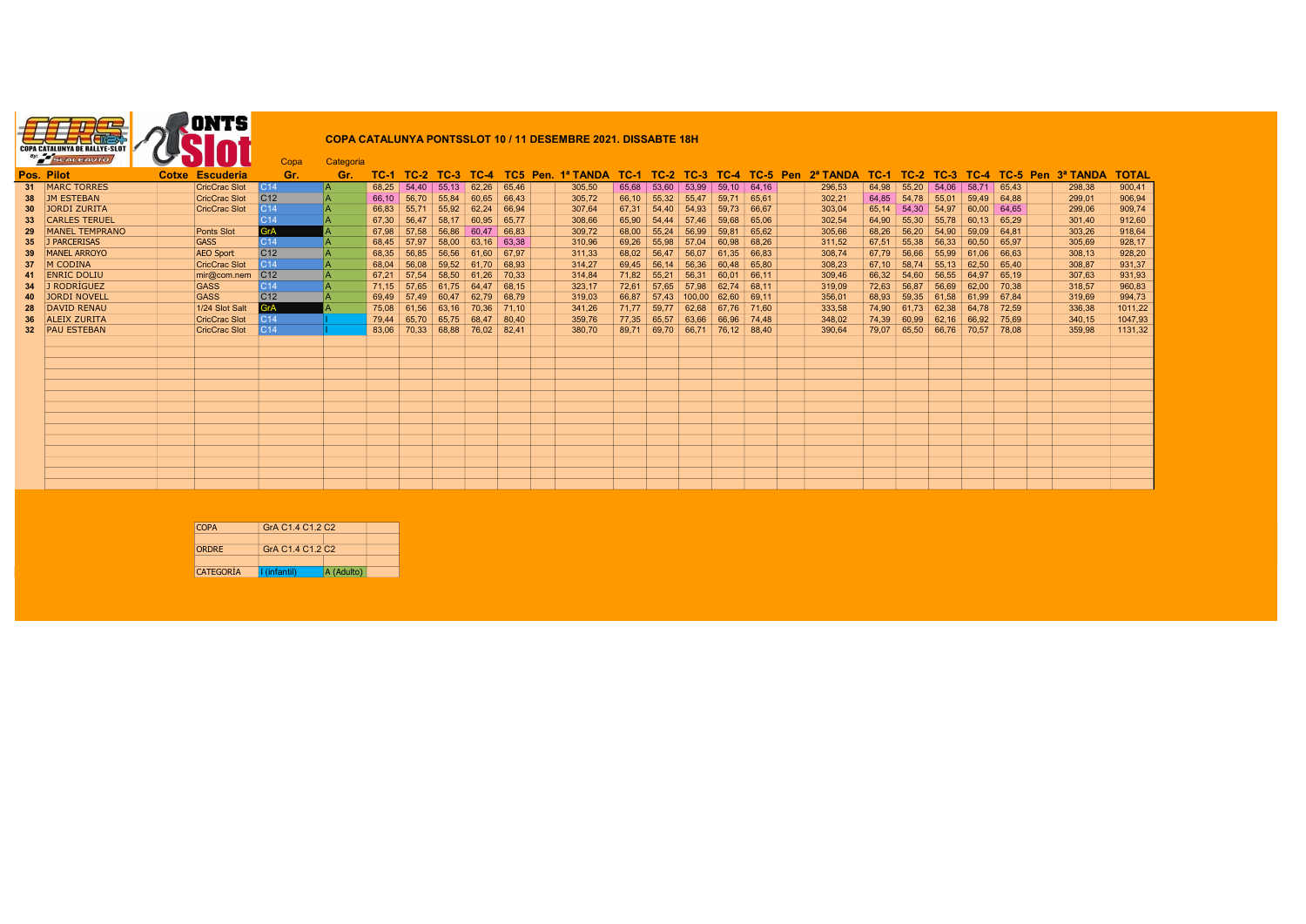

## COPA CATALUNYA PONTSSLOT 10 / 11 DESEMBRE 2021. DISSABTE 18H

| Pos. Pilot<br>Gr.<br>TC-1 TC-2 TC-3 TC-4 TC-5 Pen 2ª TANDA TC-1 TC-2 TC-3 TC-4 TC-5 Pen 3ª TANDA<br>Cotxe Escuderia<br>TC-2 TC-3 TC-4 TC5 Pen. 1ª TANDA<br>Gr.<br>TC-1<br>31 MARC TORRES<br><b>CricCrac Slot</b><br>$53.60$ 53.99 59.10 64.16<br>IC14<br>68.25<br>54.40<br>$55.13 \mid 62.26$<br>65.46<br>305.50<br>65.68<br>296.53<br>64.98<br>55.20<br>C <sub>12</sub><br>38 JM ESTEBAN<br><b>CricCrac Slot</b><br>56.70<br>55.84<br>55,32<br>64.85 54.78<br>66.10<br>60.65<br>66.43<br>305,72<br>66.10<br>55.47<br>59.71<br>302,21<br>65.61 | <b>TOTAL</b><br>900,41<br>54.06<br>58.71<br>65.43<br>298.38<br>906,94<br>55.01<br>59.49 64.88<br>299.01<br>909,74<br>54.97<br>60,00<br>299,06<br>64.65 |
|------------------------------------------------------------------------------------------------------------------------------------------------------------------------------------------------------------------------------------------------------------------------------------------------------------------------------------------------------------------------------------------------------------------------------------------------------------------------------------------------------------------------------------------------|--------------------------------------------------------------------------------------------------------------------------------------------------------|
|                                                                                                                                                                                                                                                                                                                                                                                                                                                                                                                                                |                                                                                                                                                        |
|                                                                                                                                                                                                                                                                                                                                                                                                                                                                                                                                                |                                                                                                                                                        |
|                                                                                                                                                                                                                                                                                                                                                                                                                                                                                                                                                |                                                                                                                                                        |
| JORDI ZURITA<br><b>CricCrac Slot</b><br>55.71<br>C <sub>14</sub><br>55.92<br>62,24<br>67,31<br>54.40<br>59,73<br>54,30<br>66,83<br>66,94<br>307,64<br>54,93<br>303,04<br>65.14<br>66.67<br>30                                                                                                                                                                                                                                                                                                                                                  |                                                                                                                                                        |
| <b>CARLES TERUEL</b><br>C <sub>14</sub><br>56,47<br>67,30<br>58,17 60,95<br>65,90<br>54.44<br>57,46<br>59,68<br>64,90<br>55,30 55,78<br>65.77<br>308,66<br>302,54<br>65.06<br>33 <sup>°</sup>                                                                                                                                                                                                                                                                                                                                                  | 60.13<br>912,60<br>65.29<br>301,40                                                                                                                     |
| GrA<br>MANEL TEMPRANO<br>57.58<br>67.98<br>309.72<br>68.00<br>55.24<br><b>Ponts Slot</b><br>56.86<br>60.47<br>56.99<br>59.81<br>305,66<br>68.26<br>56.20<br>66.83<br>65.62                                                                                                                                                                                                                                                                                                                                                                     | 303.26<br>918,64<br>54.90<br>59.09<br>64.81                                                                                                            |
| 35 J PARCERISAS<br><b>GASS</b><br>C <sub>14</sub><br>57.97<br>69.26<br>55,98<br>58,00<br>$63.16$ 63.38<br>57.04<br>60,98<br>67.51<br>55,38<br>68,45<br>310,96<br>311,52<br>68.26                                                                                                                                                                                                                                                                                                                                                               | 928,17<br>305,69<br>56.33<br>60.50<br>65.97                                                                                                            |
| C <sub>12</sub><br>MANEL ARROYO<br><b>AEO Sport</b><br>56.85<br>68.02<br>56.47<br>68,35<br>56.56<br>61,60<br>56.07<br>67.79<br>56.66<br>67.97<br>311.33<br>61.35<br>308.74<br>66.83                                                                                                                                                                                                                                                                                                                                                            | 308.13<br>928,20<br>55.99<br>61.06<br>66.63                                                                                                            |
| M CODINA<br>56.14<br><b>CricCrac Slot</b><br>C <sub>14</sub><br>56,08<br>$59.52$ 61.70<br>56,36<br>314.27<br>69.45<br>60,48<br>308,23<br>67.10<br>68,04<br>68.93<br>65.80<br>37                                                                                                                                                                                                                                                                                                                                                                | 931,37<br>$58,74$ 55,13 62,50<br>308.87<br>65.40                                                                                                       |
| C <sub>12</sub><br><b>ENRIC DOLIU</b><br>mir@com.nem<br>57.54<br>71.82<br>55.21<br>61.26<br>314.84<br>56.31<br>67.21<br>58.50<br>70.33<br>60.01<br>66.11<br>309.46<br>66.32<br>54.60                                                                                                                                                                                                                                                                                                                                                           | 931,93<br>56.55<br>64.97<br>307.63<br>65.19                                                                                                            |
| J RODRÍGUEZ<br>C14<br><b>GASS</b><br>57.65<br>57,65<br>$61.75$ 64.47<br>72.61<br>57,98<br>62.74<br>72,63<br>56,87<br>71,15<br>68,15<br>323.17<br>319.09<br>68.11                                                                                                                                                                                                                                                                                                                                                                               | 960,83<br>56.69<br>62.00<br>70.38<br>318.57                                                                                                            |
| C <sub>12</sub><br><b>JORDI NOVELL</b><br><b>GASS</b><br>57.49<br>66.87<br>57.43<br>69.49<br>60.47<br>62.79<br>319.03<br>100.00<br>62.60<br>356,01<br>68.93<br>59,35<br>68.79<br>69.11<br>40                                                                                                                                                                                                                                                                                                                                                   | 994,73<br>61.58<br>61.99<br>319,69<br>67.84                                                                                                            |
| <b>GrA</b><br><b>DAVID RENAU</b><br>1/24 Slot Salt<br>61.56<br>59,77<br>75.08<br>63.16<br>70,36<br>71.77<br>62,68<br>67.76<br>74.90<br>61.73<br>71.10<br>341.26<br>71.60<br>333,58                                                                                                                                                                                                                                                                                                                                                             | 1011,22<br>62.38<br>64.78<br>72.59<br>336,38                                                                                                           |
| <b>CricCrac Slot</b><br>65,70<br><b>ALEIX ZURITA</b><br>  <sub>C</sub> 14<br>65.75<br>359.76<br>77.35<br>65,57<br>63,66<br>348.02<br>74.39<br>79.44<br>68.47<br>66.96<br>60.99<br>80.40<br>74.48<br>36                                                                                                                                                                                                                                                                                                                                         | 1047,93<br>340.15<br>62,16<br>66.92<br>75.69                                                                                                           |
| 32 PAU ESTEBAN<br><b>CricCrac Slot</b><br>C <sub>14</sub><br>70,33 68,88 76,02 82,41<br>380.70<br>89.71<br>69,70 66,71 76,12 88,40<br>79,07 65,50 66,76 70,57<br>83.06<br>390,64                                                                                                                                                                                                                                                                                                                                                               | 1131,32<br>359.98<br>78.08                                                                                                                             |
|                                                                                                                                                                                                                                                                                                                                                                                                                                                                                                                                                |                                                                                                                                                        |
|                                                                                                                                                                                                                                                                                                                                                                                                                                                                                                                                                |                                                                                                                                                        |
|                                                                                                                                                                                                                                                                                                                                                                                                                                                                                                                                                |                                                                                                                                                        |
|                                                                                                                                                                                                                                                                                                                                                                                                                                                                                                                                                |                                                                                                                                                        |
|                                                                                                                                                                                                                                                                                                                                                                                                                                                                                                                                                |                                                                                                                                                        |
|                                                                                                                                                                                                                                                                                                                                                                                                                                                                                                                                                |                                                                                                                                                        |
|                                                                                                                                                                                                                                                                                                                                                                                                                                                                                                                                                |                                                                                                                                                        |
|                                                                                                                                                                                                                                                                                                                                                                                                                                                                                                                                                |                                                                                                                                                        |
|                                                                                                                                                                                                                                                                                                                                                                                                                                                                                                                                                |                                                                                                                                                        |
|                                                                                                                                                                                                                                                                                                                                                                                                                                                                                                                                                |                                                                                                                                                        |
|                                                                                                                                                                                                                                                                                                                                                                                                                                                                                                                                                |                                                                                                                                                        |
|                                                                                                                                                                                                                                                                                                                                                                                                                                                                                                                                                |                                                                                                                                                        |
|                                                                                                                                                                                                                                                                                                                                                                                                                                                                                                                                                |                                                                                                                                                        |

| <b>COPA</b>  | GrA C <sub>1.4</sub> C <sub>1.2</sub> C <sub>2</sub> |            |  |
|--------------|------------------------------------------------------|------------|--|
|              |                                                      |            |  |
| <b>ORDRE</b> | GrA C <sub>1.4</sub> C <sub>1.2</sub> C <sub>2</sub> |            |  |
|              |                                                      |            |  |
| CATEGORÍA    | I (infantil)                                         | A (Adulto) |  |